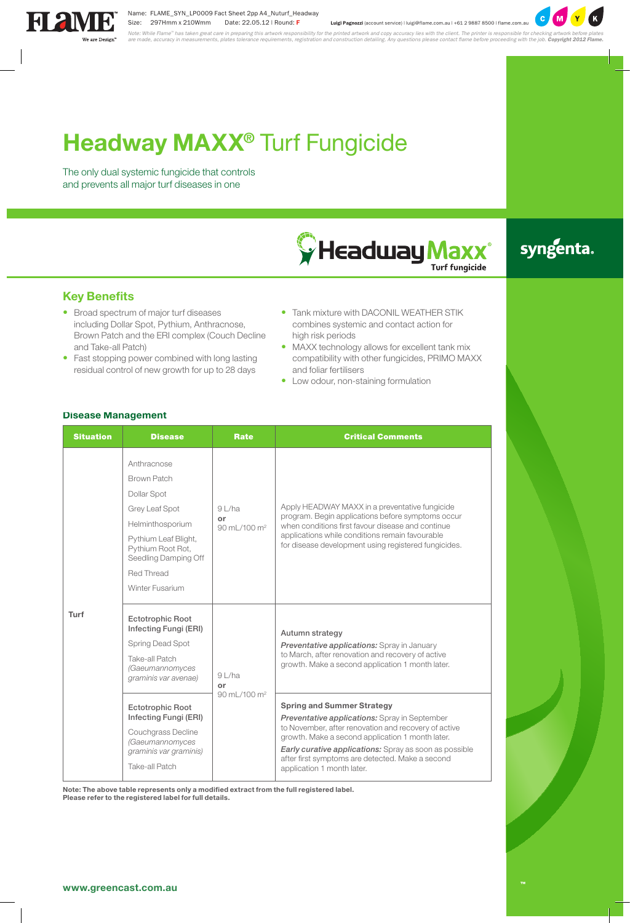# **Headway MAXX®** Turf Fungicide

The only dual systemic fungicide that controls and prevents all major turf diseases in one



## syngenta.

#### **Key Benefits**

- • Broad spectrum of major turf diseases including Dollar Spot, Pythium, Anthracnose, Brown Patch and the ERI complex (Couch Decline and Take-all Patch)
- Fast stopping power combined with long lasting residual control of new growth for up to 28 days
- Tank mixture with DACONIL WEATHER STIK combines systemic and contact action for high risk periods
- MAXX technology allows for excellent tank mix compatibility with other fungicides, PRIMO MAXX and foliar fertilisers
- Low odour, non-staining formulation

#### **Disease Management**

| <b>Situation</b> | <b>Disease</b>                                                                                                                                                                        | <b>Rate</b>                                     | <b>Critical Comments</b>                                                                                                                                                                                                                                                                                                                                 |
|------------------|---------------------------------------------------------------------------------------------------------------------------------------------------------------------------------------|-------------------------------------------------|----------------------------------------------------------------------------------------------------------------------------------------------------------------------------------------------------------------------------------------------------------------------------------------------------------------------------------------------------------|
| Turf             | Anthracnose<br>Brown Patch<br>Dollar Spot<br>Grey Leaf Spot<br>Helminthosporium<br>Pythium Leaf Blight,<br>Pythium Root Rot.<br>Seedling Damping Off<br>Red Thread<br>Winter Fusarium | 91/ha<br>or<br>90 mL/100 m <sup>2</sup>         | Apply HEADWAY MAXX in a preventative fungicide<br>program. Begin applications before symptoms occur<br>when conditions first favour disease and continue<br>applications while conditions remain favourable<br>for disease development using registered fungicides.                                                                                      |
|                  | <b>Ectotrophic Root</b><br>Infecting Fungi (ERI)<br>Spring Dead Spot<br>Take-all Patch<br>(Gaeumannomyces<br>graminis var avenae)                                                     | $9$ L/ha<br>or<br>$90$ ml $/100$ m <sup>2</sup> | Autumn strategy<br>Preventative applications: Spray in January<br>to March, after renovation and recovery of active<br>growth. Make a second application 1 month later.                                                                                                                                                                                  |
|                  | <b>Ectotrophic Root</b><br>Infecting Fungi (ERI)<br>Couchgrass Decline<br>(Gaeumannomyces<br>graminis var graminis)<br>Take-all Patch                                                 |                                                 | <b>Spring and Summer Strategy</b><br><b>Preventative applications:</b> Spray in September<br>to November, after renovation and recovery of active<br>growth. Make a second application 1 month later.<br><b>Early curative applications:</b> Spray as soon as possible<br>after first symptoms are detected. Make a second<br>application 1 month later. |

**Note: The above table represents only a modified extract from the full registered label. Please refer to the registered label for full details.**